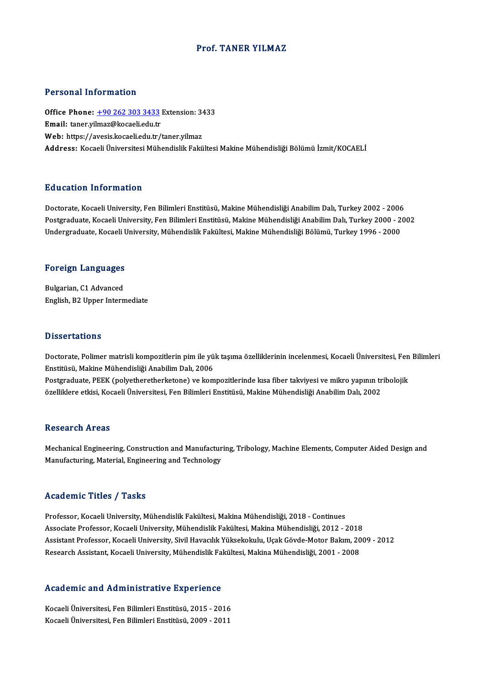## Prof. TANER YILMAZ

#### Personal Information

Personal Information<br>Office Phone: <u>+90 262 303 3433</u> Extension: 3433<br>Email: tanor vilmar@kacaali.edu.tr Processian and cancellarity<br>Office Phone: <u>+90 262 303 3433</u><br>Email: taner.yi[lmaz@kocaeli.edu.tr](tel:+90 262 303 3433) Office Phone: <u>+90 262 303 3433</u> Extension: 34<br>Email: taner.yilmaz@kocaeli.edu.tr<br>Web: https://avesis.kocaeli.edu.tr/taner.yilmaz<br>Address. Kosaeli Üniversitesi Mühandielik Fakü Email: taner.yilmaz@kocaeli.edu.tr<br>Web: https://avesis.kocaeli.edu.tr/taner.yilmaz<br>Address: Kocaeli Üniversitesi Mühendislik Fakültesi Makine Mühendisliği Bölümü İzmit/KOCAELİ

### Education Information

<mark>Education Information</mark><br>Doctorate, Kocaeli University, Fen Bilimleri Enstitüsü, Makine Mühendisliği Anabilim Dalı, Turkey 2002 - 2006<br>Postsraduata Kosaeli University, Fen Bilimleri Enstitüsü, Makine Mühendisliği Anabilim D Postgraduate, Kocaeli University, Fen Bilimleri Enstitüsü, Makine Mühendisliği Anabilim Dalı, Turkey 2000 - 2002<br>Undergraduate, Kocaeli University, Mühendislik Fakültesi, Makine Mühendisliği Bölümü, Turkey 1996 - 2000 Doctorate, Kocaeli University, Fen Bilimleri Enstitüsü, Makine Mühendisliği Anabilim Dalı, Turkey 2002 - 2006<br>Postgraduate, Kocaeli University, Fen Bilimleri Enstitüsü, Makine Mühendisliği Anabilim Dalı, Turkey 2000 - 2<br>Un

# <sub>ondergraduate, Kocaen t<br>Foreign Languages</sub>

**Foreign Languages<br>Bulgarian, C1 Advanced<br>English P2 Unner Intern** Bulgarian, C1 Advanced<br>English, B2 Upper Intermediate

#### **Dissertations**

Dissertations<br>Doctorate, Polimer matrisli kompozitlerin pim ile yük taşıma özelliklerinin incelenmesi, Kocaeli Üniversitesi, Fen Bilimleri<br>Fratitüsü, Makine Mühandisliği Anabilim Dalı, 2006 Enster tantomu<br>Doctorate, Polimer matrisli kompozitlerin pim ile yü<br>Enstitüsü, Makine Mühendisliği Anabilim Dalı, 2006<br>Postanaduata, PEEK (polyatheratherkatana) ve kom Doctorate, Polimer matrisli kompozitlerin pim ile yük taşıma özelliklerinin incelenmesi, Kocaeli Üniversitesi, Fen<br>Enstitüsü, Makine Mühendisliği Anabilim Dalı, 2006<br>Postgraduate, PEEK (polyetheretherketone) ve kompozitler

Enstitüsü, Makine Mühendisliği Anabilim Dalı, 2006<br>Postgraduate, PEEK (polyetheretherketone) ve kompozitlerinde kısa fiber takviyesi ve mikro yapının tribolojik<br>özelliklere etkisi, Kocaeli Üniversitesi, Fen Bilimleri Ensti

### **Research Areas**

Research Areas<br>Mechanical Engineering, Construction and Manufacturing, Tribology, Machine Elements, Computer Aided Design and<br>Manufacturing, Material, Engineering and Technology. 1000011 on 111 043<br>Mechanical Engineering, Construction and Manufactur<br>Manufacturing, Material, Engineering and Technology Manufacturing, Material, Engineering and Technology<br>Academic Titles / Tasks

Professor, Kocaeli University, Mühendislik Fakültesi, Makina Mühendisliği, 2018 - Continues Associate Artice 7 Austis<br>Professor, Kocaeli University, Mühendislik Fakültesi, Makina Mühendisliği, 2018 - Continues<br>Associate Professor, Kocaeli University, Mühendislik Fakültesi, Makina Mühendisliği, 2012 - 2018<br>Assista Assistant Professor, Kocaeli University, Sivil Havacılık Yüksekokulu, Uçak Gövde-Motor Bakım, 2009 - 2012<br>Research Assistant, Kocaeli University, Mühendislik Fakültesi, Makina Mühendisliği, 2001 - 2008 Associate Professor, Kocaeli University, Mühendislik Fakültesi, Makina Mühendisliği, 2012 - 2018<br>Assistant Professor, Kocaeli University, Sivil Havacılık Yüksekokulu, Uçak Gövde-Motor Bakım, 20<br>Research Assistant, Kocaeli

#### Academic and Administrative Experience

Academic and Administrative Experience<br>Kocaeli Üniversitesi, Fen Bilimleri Enstitüsü, 2015 - 2016<br>Kosaeli Üniversitesi, Fen Bilimleri Enstitüsü, 2000, 2011 Kocaeli Üniversitesi, Fen Bilimleri Enstitüsü, 2015 - 2016<br>Kocaeli Üniversitesi, Fen Bilimleri Enstitüsü, 2015 - 2016<br>Kocaeli Üniversitesi, Fen Bilimleri Enstitüsü, 2009 - 2011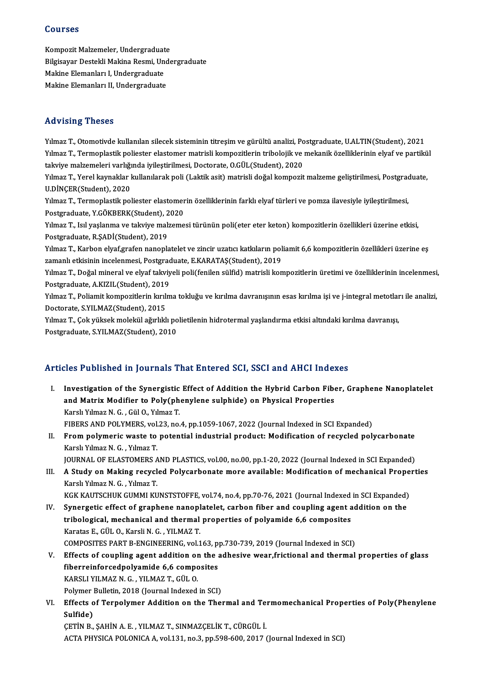## Courses

Courses<br>Kompozit Malzemeler, Undergraduate<br>Bilgicavar Destakli Malgra Besmi, Unde Bilgisayar Destekli Makina Resmi, Undergraduate<br>Makine Elemanları I, Undergraduate Kompozit Malzemeler, Undergraduat<br>Bilgisayar Destekli Makina Resmi, Un<br>Makine Elemanları I, Undergraduate<br>Makine Elemanları II, Undergraduate Makine Elemanları II, Undergraduate

## Advising Theses

Advising Theses<br>Yılmaz T., Otomotivde kullanılan silecek sisteminin titreşim ve gürültü analizi, Postgraduate, U.ALTIN(Student), 2021<br>Yılmaz T. Termonlastik poliester elestemer metrisli kempezitlerin tribolejik ve mekanik Yılmaz T., Otomotivde kullanılan silecek sisteminin titreşim ve gürültü analizi, Postgraduate, U.ALTIN(Student), 2021<br>Yılmaz T., Termoplastik poliester elastomer matrisli kompozitlerin tribolojik ve mekanik özelliklerinin Yılmaz T., Otomotivde kullanılan silecek sisteminin titreşim ve gürültü analizi, Po<br>Yılmaz T., Termoplastik poliester elastomer matrisli kompozitlerin tribolojik ve<br>takviye malzemeleri varlığında iyileştirilmesi, Doctorate Yılmaz T., Termoplastik poliester elastomer matrisli kompozitlerin tribolojik ve mekanik özelliklerinin elyaf ve partikü<br>takviye malzemeleri varlığında iyileştirilmesi, Doctorate, O.GÜL(Student), 2020<br>Yılmaz T., Yerel kayn

takviye malzemeleri varlığında iyileştirilmesi, Doctorate, O.GÜL(Student), 2020<br>Yılmaz T., Yerel kaynaklar kullanılarak poli (Laktik asit) matrisli doğal kompozit<br>U.DİNÇER(Student), 2020 Yılmaz T., Yerel kaynaklar kullanılarak poli (Laktik asit) matrisli doğal kompozit malzeme geliştirilmesi, Postgraduate,

Yılmaz T., Termoplastik poliester elastomerin özelliklerinin farklı elyaf türleri ve pomza ilavesiyle iyileştirilmesi, Postgraduate, Y.GÖKBERK(Student), 2020

Yılmaz T., Isıl yaşlanma ve takviye malzemesi türünün poli(eter eter keton) kompozitlerin özellikleri üzerine etkisi,<br>Postgraduate, R.ŞADİ(Student), 2019 Yılmaz T., Isıl yaşlanma ve takviye malzemesi türünün poli(eter eter keton) kompozitlerin özellikleri üzerine etkisi,<br>Postgraduate, R.ŞADİ(Student), 2019<br>Yılmaz T., Karbon elyaf,grafen nanoplatelet ve zincir uzatıcı katkıl

Postgraduate, R.ŞADİ(Student), 2019<br>Yılmaz T., Karbon elyaf,grafen nanoplatelet ve zincir uzatıcı katkıların pol<br>zamanlı etkisinin incelenmesi, Postgraduate, E.KARATAŞ(Student), 2019<br>Yılmaz T. Doğal mineral ve elvaf takıyı Yılmaz T., Karbon elyaf,grafen nanoplatelet ve zincir uzatıcı katkıların poliamit 6,6 kompozitlerin özellikleri üzerine eş<br>zamanlı etkisinin incelenmesi, Postgraduate, E.KARATAŞ(Student), 2019<br>Yılmaz T., Doğal mineral ve e

zamanlı etkisinin incelenmesi, Postgrad<br>Yılmaz T., Doğal mineral ve elyaf takviy<br>Postgraduate, A.KIZIL(Student), 2019<br>Yılmaz T. Boliamit kompozitlerin lanılm Yılmaz T., Doğal mineral ve elyaf takviyeli poli(fenilen sülfid) matrisli kompozitlerin üretimi ve özelliklerinin incelenmesi<br>Postgraduate, A.KIZIL(Student), 2019<br>Yılmaz T., Poliamit kompozitlerin kırılma tokluğu ve kırılm

Postgraduate, A.KIZIL(Student), 2019<br>Yılmaz T., Poliamit kompozitlerin kırılma tokluğu ve kırılma davranışının esas kırılma işi ve j-integral metotları ile analizi,<br>Doctorate, S.YILMAZ(Student), 2015 Yılmaz T., Poliamit kompozitlerin kırılma tokluğu ve kırılma davranışının esas kırılma işi ve j-integral metotlar<br>Doctorate, S.YILMAZ(Student), 2015<br>Yılmaz T., Çok yüksek molekül ağırlıklı polietilenin hidrotermal yaşlandı

Doctorate, S.YILMAZ(Student), 2015<br>Yılmaz T., Çok yüksek molekül ağırlıklı po<br>Postgraduate, S.YILMAZ(Student), 2010

# Postgraduate, S.YILMAZ(Student), 2010<br>Articles Published in Journals That Entered SCI, SSCI and AHCI Indexes

rticles Published in Journals That Entered SCI, SSCI and AHCI Indexes<br>I. Investigation of the Synergistic Effect of Addition the Hybrid Carbon Fiber, Graphene Nanoplatelet<br>And Matrix Medifier to Boly(phenylone sulphide) on Investigation of the Synergistic Effect of Addition the Hybrid Carbon Fiberton Matrix Modifier to Poly(phenylene sulphide) on Physical Properties Investigation of the Synergistic<br>and Matrix Modifier to Poly(ph<br>Karslı Yılmaz N.G., Gül O., Yılmaz T.<br>FIRERS AND POLYMERS vol 23 no. and Matrix Modifier to Poly(phenylene sulphide) on Physical Properties<br>Karslı Yılmaz N. G. , Gül O., Yılmaz T.<br>FIBERS AND POLYMERS, vol.23, no.4, pp.1059-1067, 2022 (Journal Indexed in SCI Expanded)

Karslı Yılmaz N. G. , Gül O., Yılmaz T.<br>FIBERS AND POLYMERS, vol.23, no.4, pp.1059-1067, 2022 (Journal Indexed in SCI Expanded)<br>II. From polymeric waste to potential industrial product: Modification of recycled polycarbona FIBERS AND POLYMERS, vol.<br>From polymeric waste to<br>Karslı Yılmaz N. G. , Yılmaz T.<br>JOUPNAL OF ELASTOMERS A From polymeric waste to potential industrial product: Modification of recycled polycarbonate<br>Karslı Yılmaz N. G. , Yılmaz T.<br>JOURNAL OF ELASTOMERS AND PLASTICS, vol.00, no.00, pp.1-20, 2022 (Journal Indexed in SCI Expanded

- Karslı Yılmaz N. G. , Yılmaz T.<br>JOURNAL OF ELASTOMERS AND PLASTICS, vol.00, no.00, pp.1-20, 2022 (Journal Indexed in SCI Expanded)<br>III. A Study on Making recycled Polycarbonate more available: Modification of mechanica **JOURNAL OF ELASTOMERS A<br>A Study on Making recycl<br>Karslı Yılmaz N. G. , Yılmaz T.<br>VCV KAUTSCHUK CUMMI KU** KGK KAUTSCHUK GUMMI KUNSTSTOFFE, vol.74, no.4, pp.70-76, 2021 (Journal Indexed in SCI Expanded)
- IV. Synergetic effect of graphene nanoplatelet, carbon fiber and coupling agent addition on the KGK KAUTSCHUK GUMMI KUNSTSTOFFE, vol.74, no.4, pp.70-76, 2021 (Journal Indexed<br>Synergetic effect of graphene nanoplatelet, carbon fiber and coupling agent a<br>tribological, mechanical and thermal properties of polyamide 6,6 Synergetic effect of graphene nanopl<br>tribological, mechanical and thermal<br>Karatas E., GÜL O., Karsli N. G. , YILMAZ T.<br>COMPOSITES PAPT P. ENCINEEPING, vol.1 tribological, mechanical and thermal properties of polyamide 6,6 composites<br>Karatas E., GÜL O., Karsli N. G. , YILMAZ T.<br>COMPOSITES PART B-ENGINEERING, vol.163, pp.730-739, 2019 (Journal Indexed in SCI)<br>Effects of coupling Karatas E., GÜL O., Karsli N. G. , YILMAZ T.<br>COMPOSITES PART B-ENGINEERING, vol.163, pp.730-739, 2019 (Journal Indexed in SCI)<br>V. Effects of coupling agent addition on the adhesive wear,frictional and thermal properties of
- COMPOSITES PART B-ENGINEERING, vol.163, p<br>Effects of coupling agent addition on the a<br>fiberreinforcedpolyamide 6,6 composites<br>KARSLI VILMAZ N.C., VILMAZ T. CÜLO Effects of coupling agent addition or<br>fiberreinforcedpolyamide 6,6 compo<br>KARSLI YILMAZ N. G. , YILMAZ T., GÜL O.<br>Polymar Bullatin, 2018 (Jaunnal Indaved fiberreinforcedpolyamide 6,6 composites<br>KARSLI YILMAZ N. G. , YILMAZ T., GÜL 0.<br>Polymer Bulletin, 2018 (Journal Indexed in SCI)<br>Fffects of Ternalymar Addition on the The
- KARSLI YILMAZ N. G. , YILMAZ T., GÜL O.<br>Polymer Bulletin, 2018 (Journal Indexed in SCI)<br>VI. Effects of Terpolymer Addition on the Thermal and Termomechanical Properties of Poly(Phenylene<br>Sulfide) Polymer<br>Effects o<br>Sulfide)<br>CETIN P

ÇETİNB.,ŞAHİNA.E. ,YILMAZ T.,SINMAZÇELİKT.,CÜRGÜL İ. ACTA PHYSICA POLONICA A, vol.131, no.3, pp.598-600, 2017 (Journal Indexed in SCI)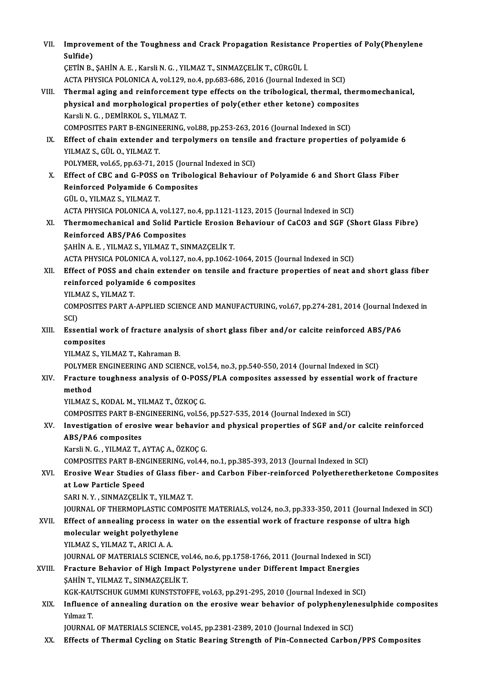| VII.   | Improvement of the Toughness and Crack Propagation Resistance Properties of Poly(Phenylene<br>Sulfide)                                                                                     |
|--------|--------------------------------------------------------------------------------------------------------------------------------------------------------------------------------------------|
|        | ÇETİN B., ŞAHİN A. E., Karsli N. G., YILMAZ T., SINMAZÇELİK T., CÜRGÜL İ.                                                                                                                  |
|        | ACTA PHYSICA POLONICA A, vol.129, no.4, pp.683-686, 2016 (Journal Indexed in SCI)                                                                                                          |
| VIII.  | Thermal aging and reinforcement type effects on the tribological, thermal, thermomechanical,                                                                                               |
|        | physical and morphological properties of poly(ether ether ketone) composites                                                                                                               |
|        | Karsli N. G., DEMİRKOL S., YILMAZ T.                                                                                                                                                       |
|        | COMPOSITES PART B-ENGINEERING, vol.88, pp.253-263, 2016 (Journal Indexed in SCI)                                                                                                           |
| IX.    | Effect of chain extender and terpolymers on tensile and fracture properties of polyamide 6                                                                                                 |
|        | YILMAZ S., GÜL O., YILMAZ T.                                                                                                                                                               |
|        | POLYMER, vol.65, pp.63-71, 2015 (Journal Indexed in SCI)                                                                                                                                   |
| X.     | Effect of CBC and G-POSS on Tribological Behaviour of Polyamide 6 and Short Glass Fiber                                                                                                    |
|        | Reinforced Polyamide 6 Composites<br>GÜL O, YILMAZ S, YILMAZ T.                                                                                                                            |
|        | ACTA PHYSICA POLONICA A, vol.127, no.4, pp.1121-1123, 2015 (Journal Indexed in SCI)                                                                                                        |
| XI.    | Thermomechanical and Solid Particle Erosion Behaviour of CaCO3 and SGF (Short Glass Fibre)                                                                                                 |
|        | <b>Reinforced ABS/PA6 Composites</b>                                                                                                                                                       |
|        | ŞAHİN A. E., YILMAZ S., YILMAZ T., SINMAZÇELİK T.                                                                                                                                          |
|        | ACTA PHYSICA POLONICA A, vol.127, no.4, pp.1062-1064, 2015 (Journal Indexed in SCI)                                                                                                        |
| XII.   | Effect of POSS and chain extender on tensile and fracture properties of neat and short glass fiber                                                                                         |
|        | reinforced polyamide 6 composites                                                                                                                                                          |
|        | YILMAZ S., YILMAZ T.                                                                                                                                                                       |
|        | COMPOSITES PART A-APPLIED SCIENCE AND MANUFACTURING, vol.67, pp.274-281, 2014 (Journal Indexed in                                                                                          |
| XIII.  | SCI)<br>Essential work of fracture analysis of short glass fiber and/or calcite reinforced ABS/PA6                                                                                         |
|        | composites                                                                                                                                                                                 |
|        | YILMAZ S., YILMAZ T., Kahraman B.                                                                                                                                                          |
|        | POLYMER ENGINEERING AND SCIENCE, vol.54, no.3, pp.540-550, 2014 (Journal Indexed in SCI)                                                                                                   |
| XIV.   | Fracture toughness analysis of O-POSS/PLA composites assessed by essential work of fracture                                                                                                |
|        | method                                                                                                                                                                                     |
|        | YILMAZ S., KODAL M., YILMAZ T., ÖZKOÇ G.                                                                                                                                                   |
|        | COMPOSITES PART B-ENGINEERING, vol.56, pp.527-535, 2014 (Journal Indexed in SCI)                                                                                                           |
| XV.    | Investigation of erosive wear behavior and physical properties of SGF and/or calcite reinforced                                                                                            |
|        | ABS/PA6 composites                                                                                                                                                                         |
|        | Karsli N. G., YILMAZ T., AYTAÇ A., ÖZKOÇ G.                                                                                                                                                |
| XVI.   | COMPOSITES PART B-ENGINEERING, vol.44, no.1, pp.385-393, 2013 (Journal Indexed in SCI)<br>Erosive Wear Studies of Glass fiber- and Carbon Fiber-reinforced Polyetheretherketone Composites |
|        | at Low Particle Speed                                                                                                                                                                      |
|        | SARI N.Y., SINMAZÇELİK T., YILMAZ T.                                                                                                                                                       |
|        | JOURNAL OF THERMOPLASTIC COMPOSITE MATERIALS, vol.24, no.3, pp.333-350, 2011 (Journal Indexed in SCI)                                                                                      |
| XVII.  | Effect of annealing process in water on the essential work of fracture response of ultra high                                                                                              |
|        | molecular weight polyethylene                                                                                                                                                              |
|        | YILMAZ S., YILMAZ T., ARICI A. A.                                                                                                                                                          |
|        | JOURNAL OF MATERIALS SCIENCE, vol.46, no.6, pp.1758-1766, 2011 (Journal Indexed in SCI)                                                                                                    |
| XVIII. | Fracture Behavior of High Impact Polystyrene under Different Impact Energies                                                                                                               |
|        | ŞAHİN T., YILMAZ T., SINMAZÇELİK T.                                                                                                                                                        |
|        | KGK-KAUTSCHUK GUMMI KUNSTSTOFFE, vol.63, pp.291-295, 2010 (Journal Indexed in SCI)                                                                                                         |
| XIX.   | Influence of annealing duration on the erosive wear behavior of polyphenylenesulphide composites<br>Yılmaz T                                                                               |
|        | JOURNAL OF MATERIALS SCIENCE, vol.45, pp.2381-2389, 2010 (Journal Indexed in SCI)                                                                                                          |
| XX.    | Effects of Thermal Cycling on Static Bearing Strength of Pin-Connected Carbon/PPS Composites                                                                                               |
|        |                                                                                                                                                                                            |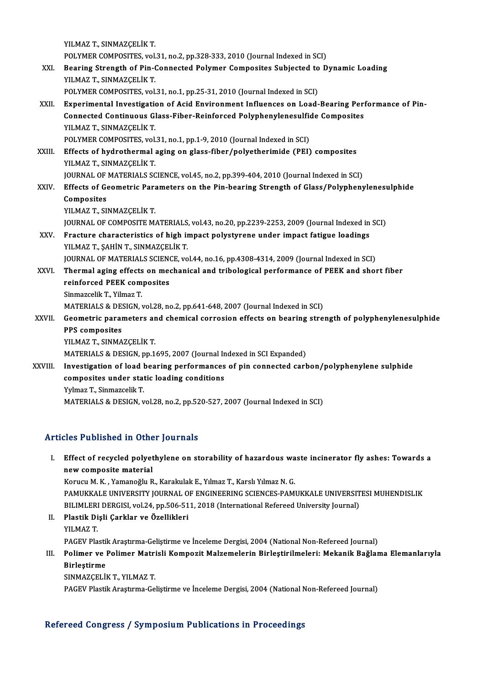YILMAZ T.,SINMAZÇELİKT. POLYMER COMPOSITES, vol.31, no.2, pp.328-333, 2010 (Journal Indexed in SCI) YILMAZ T., SINMAZÇELİK T.<br>POLYMER COMPOSITES, vol.31, no.2, pp.328-333, 2010 (Journal Indexed in SCI)<br>XXI. Bearing Strength of Pin-Connected Polymer Composites Subjected to Dynamic Loading<br>XII MAZ T. SINMAZCELİK T. POLYMER COMPOSITES, vol.<br>Bearing Strength of Pin-(YILMAZ T., SINMAZÇELİK T.<br>POLYMER COMPOSITES, vol. YILMAZ T., SINMAZÇELİK T.<br>POLYMER COMPOSITES, vol.31, no.1, pp.25-31, 2010 (Journal Indexed in SCI) YILMAZ T., SINMAZÇELİK T.<br>POLYMER COMPOSITES, vol.31, no.1, pp.25-31, 2010 (Journal Indexed in SCI)<br>XXII. Experimental Investigation of Acid Environment Influences on Load-Bearing Performance of Pin-<br>Connected Continuous C POLYMER COMPOSITES, vol.31, no.1, pp.25-31, 2010 (Journal Indexed in SCI)<br>Experimental Investigation of Acid Environment Influences on Load-Bearing Peri<br>Connected Continuous Glass-Fiber-Reinforced Polyphenylenesulfide Comp Connected Continuous Glass-Fiber-Reinforced Polyphenylenesulfide Composites YILMAZ T., SINMAZÇELİK T. Connected Continuous Glass-Fiber-Reinforced Polyphenylenesulfi<br>POLYMER COMPOSITES, vol.31, no.1, pp.1-9, 2010 (Journal Indexed in SCI)<br>Fffects of bydrothermal asing en glass fiber (polyotherimide (PEI) XXIII. Effects of hydrothermal aging on glass-fiber/polyetherimide (PEI) composites<br>YILMAZ T., SINMAZCELIK T. POLYMER COMPOSITES, vol.<br>Effects of hydrothermal<br>YILMAZ T., SINMAZÇELİK T.<br>JOUPNAL OF MATEPIALS SC JOURNALOFMATERIALS SCIENCE,vol.45,no.2,pp.399-404,2010 (Journal Indexed inSCI) XXIV. Effects of Geometric Parameters on the Pin-bearing Strength of Glass/Polyphenylenesulphide Composites YILMAZ T.,SINMAZÇELİKT. JOURNAL OF COMPOSITE MATERIALS, vol.43, no.20, pp.2239-2253, 2009 (Journal Indexed in SCI) YILMAZ T., SINMAZÇELİK T.<br>JOURNAL OF COMPOSITE MATERIALS, vol.43, no.20, pp.2239-2253, 2009 (Journal Indexed in<br>XXV. Fracture characteristics of high impact polystyrene under impact fatigue loadings<br>VILMAZ T. SAHIN T. **JOURNAL OF COMPOSITE MATERIALS<br>Fracture characteristics of high in<br>YILMAZ T., ŞAHİN T., SINMAZÇELİK T.**<br>JOURNAL OF MATERIALS SCIENCE YO YILMAZ T., ȘAHİN T., SINMAZÇELİK T.<br>JOURNAL OF MATERIALS SCIENCE, vol.44, no.16, pp.4308-4314, 2009 (Journal Indexed in SCI) YILMAZ T., ŞAHİN T., SINMAZÇELİK T.<br>JOURNAL OF MATERIALS SCIENCE, vol.44, no.16, pp.4308-4314, 2009 (Journal Indexed in SCI)<br>XXVI. Thermal aging effects on mechanical and tribological performance of PEEK and short fibe **JOURNAL OF MATERIALS SCIEN<br>Thermal aging effects on med<br>reinforced PEEK composites<br>Sinmazcelik T-Yilmaz T** Thermal aging effects<br>reinforced PEEK com<br>Sinmazcelik T., Yilmaz T.<br>MATEPIALS & DESICN reinforced PEEK composites<br>Sinmazcelik T., Yilmaz T.<br>MATERIALS & DESIGN, vol.28, no.2, pp.641-648, 2007 (Journal Indexed in SCI)<br>Coometris parameters and shamical sarrosian offects on bearing stre Sinmazcelik T., Yilmaz T.<br>MATERIALS & DESIGN, vol.28, no.2, pp.641-648, 2007 (Journal Indexed in SCI)<br>XXVII. Geometric parameters and chemical corrosion effects on bearing strength of polyphenylenesulphide<br>RPS sempesite MATERIALS & DES<br>Geometric parai<br>PPS composites<br>VILMAZ T. SINMA **Geometric parameters ar<br>PPS composites<br>YILMAZ T., SINMAZÇELİK T.<br>MATEPIALS & DESICN pp 1** PPS composites<br>YILMAZ T., SINMAZÇELİK T.<br>MATERIALS & DESIGN, pp.1695, 2007 (Journal Indexed in SCI Expanded) YILMAZ T., SINMAZÇELİK T.<br>MATERIALS & DESIGN, pp.1695, 2007 (Journal Indexed in SCI Expanded)<br>XXVIII. Investigation of load bearing performances of pin connected carbon/polyphenylene sulphide<br>composites under static loadin MATERIALS & DESIGN, pp.1695, 2007 (Journal In<br>Investigation of load bearing performances<br>composites under static loading conditions<br>Vylmer T. Sinmarcelik T. composites under static loading conditions<br>Yylmaz T., Sinmazcelik T. MATERIALS & DESIGN, vol.28, no.2, pp.520-527, 2007 (Journal Indexed in SCI)

## Articles Published in Other Journals

rticles Published in Other Journals<br>I. Effect of recycled polyethylene on storability of hazardous waste incinerator fly ashes: Towards a<br>now composite material nco i abholica in oche<br>Effect of recycled polyet<br>new composite material<br>Komenoğlu B Effect of recycled polyethylene on storability of hazardous wa<br>new composite material<br>Korucu M. K. , Yamanoğlu R., Karakulak E., Yılmaz T., Karslı Yılmaz N. G.<br>PAMUKKALE UNIVERSITY JOURNAL OF ENCINEERING SCIENGES RAMI

new composite material<br>Korucu M. K. , Yamanoğlu R., Karakulak E., Yılmaz T., Karslı Yılmaz N. G.<br>PAMUKKALE UNIVERSITY JOURNAL OF ENGINEERING SCIENCES-PAMUKKALE UNIVERSITESI MUHENDISLIK<br>PILIMLERLDERCISL Vol 24. np 506 511-2 Korucu M. K. , Yamanoğlu R., Karakulak E., Yılmaz T., Karslı Yılmaz N. G.<br>PAMUKKALE UNIVERSITY JOURNAL OF ENGINEERING SCIENCES-PAMUKKALE UNIVERSIT<br>BILIMLERI DERGISI, vol.24, pp.506-511, 2018 (International Refereed Univers BILIMLERI DERGISI, vol.24, pp.506-511, 2018 (International Refereed University Journal)

II. Plastik Dişli Çarklar ve Özellikleri<br>YILMAZ T. PAGEV Plastik Araştırma-Geliştirme ve İnceleme Dergisi, 2004 (National Non-Refereed Journal) YILMAZ T.<br>PAGEV Plastik Araştırma-Geliştirme ve İnceleme Dergisi, 2004 (National Non-Refereed Journal)<br>III. Polimer ve Polimer Matrisli Kompozit Malzemelerin Birleştirilmeleri: Mekanik Bağlama Elemanlarıyla<br>Birleştirme

## PAGEV Plasti<br>Polimer ve<br>Birleştirme<br>SINMAZCELİI Polimer ve Polimer Matri<br>Birleştirme<br>SINMAZÇELİK T., YILMAZ T.<br>BACEV Plastik Arastuma Ca Birleştirme<br>SINMAZÇELİK T., YILMAZ T.<br>PAGEV Plastik Araştırma-Geliştirme ve İnceleme Dergisi, 2004 (National Non-Refereed Journal)

#### Refereed Congress / Symposium Publications in Proceedings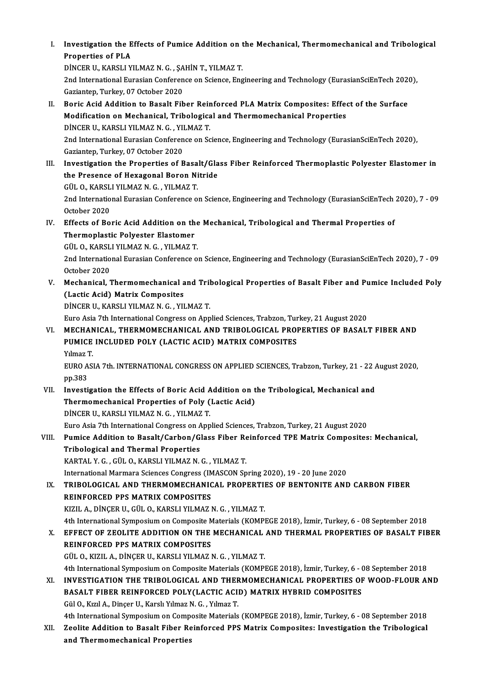- I. Investigation the Effects of Pumice Addition on the Mechanical, Thermomechanical and Tribological<br>Reponeties of PLA **Investigation the E**<br>Properties of PLA<br>Dincep II, KARSLLY Investigation the Effects of Pumice Addition on t<br>Properties of PLA<br>DİNCER U., KARSLI YILMAZ N. G. , ŞAHİN T., YILMAZ T.<br>2nd International Euresian Conference on Science Eng Properties of PLA<br>DiNCER U., KARSLI YILMAZ N. G. , ŞAHİN T., YILMAZ T.<br>2nd International Eurasian Conference on Science, Engineering and Technology (EurasianSciEnTech 2020),<br>Gaziantep, Turkey, 07 October 2020 DİNCER U., KARSLI YILMAZ N. G. , ŞA<br>2nd International Eurasian Conferen<br>Gaziantep, Turkey, 07 October 2020<br>Boris Asid Addition to Basalt Eib 2nd International Eurasian Conference on Science, Engineering and Technology (EurasianSciEnTech 2020<br>Gaziantep, Turkey, 07 October 2020<br>II. Boric Acid Addition to Basalt Fiber Reinforced PLA Matrix Composites: Effect of th Gaziantep, Turkey, 07 October 2020<br>Boric Acid Addition to Basalt Fiber Reinforced PLA Matrix Composites: Effeq<br>Modification on Mechanical, Tribological and Thermomechanical Properties<br>DiNCER U, KARSLLVU MAZ N.C., YU MAZ T Modification on Mechanical, Tribological and Thermomechanical Properties<br>DİNCER U., KARSLI YILMAZ N. G., YILMAZ T. Modification on Mechanical, Tribological and Thermomechanical Properties<br>DİNCER U., KARSLI YILMAZ N. G. , YILMAZ T.<br>2nd International Eurasian Conference on Science, Engineering and Technology (EurasianSciEnTech 2020),<br>Car DİNCER U., KARSLI YILMAZ N. G. , YI<br>2nd International Eurasian Conferen<br>Gaziantep, Turkey, 07 October 2020<br>Investigation the Preperties of P 2nd International Eurasian Conference on Science, Engineering and Technology (EurasianSciEnTech 2020),<br>Gaziantep, Turkey, 07 October 2020<br>III. Investigation the Properties of Basalt/Glass Fiber Reinforced Thermoplastic Pol Gaziantep, Turkey, 07 October 2020<br>Investigation the Properties of Basalt/Gla<br>the Presence of Hexagonal Boron Nitride<br>CÜLO KARSLUVUMAZN G - VUMAZT Investigation the Properties of Basa<br>the Presence of Hexagonal Boron Ni<br>GÜL O., KARSLI YILMAZ N. G. , YILMAZ T.<br>2nd International Eurosian Conference o the Presence of Hexagonal Boron Nitride<br>GÜL O., KARSLI YILMAZ N. G. , YILMAZ T.<br>2nd International Eurasian Conference on Science, Engineering and Technology (EurasianSciEnTech 2020), 7 - 09 GÜL O., KARSL<br>2nd Internatio<br>October 2020<br>Effects of Po 2nd International Eurasian Conference on Science, Engineering and Technology (EurasianSciEnTech<br>October 2020<br>IV. Effects of Boric Acid Addition on the Mechanical, Tribological and Thermal Properties of<br>Thermanlastic Polyce October 2020<br>Effects of Boric Acid Addition on th<br>Thermoplastic Polyester Elastomer<br>CÜLO KARSLI VU MAZN G - VU MAZT Effects of Boric Acid Addition on the<br>Thermoplastic Polyester Elastomer<br>GÜL O., KARSLI YILMAZ N. G. , YILMAZ T.<br>2nd International Eurosian Conference o Thermoplastic Polyester Elastomer<br>GÜL O., KARSLI YILMAZ N. G. , YILMAZ T.<br>2nd International Eurasian Conference on Science, Engineering and Technology (EurasianSciEnTech 2020), 7 - 09 GÜL O., KARSL<br>2nd Internatio<br>October 2020<br>Mechanisal 2nd International Eurasian Conference on Science, Engineering and Technology (EurasianSciEnTech 2020), 7 - 09<br>October 2020<br>V. Mechanical, Thermomechanical and Tribological Properties of Basalt Fiber and Pumice Included Pol October 2020<br>Mechanical, Thermomechanical a<br>(Lactic Acid) Matrix Composites<br>DINCEP U, KARSLI VU MAZ N.C., VU Mechanical, Thermomechanical and Tril<br>(Lactic Acid) Matrix Composites<br>DİNCER U., KARSLI YILMAZ N. G. , YILMAZ T.<br>Euro Asia 7th International Congress on Ann (Lactic Acid) Matrix Composites<br>DİNCER U., KARSLI YILMAZ N. G. , YILMAZ T.<br>Euro Asia 7th International Congress on Applied Sciences, Trabzon, Turkey, 21 August 2020 VI. MECHANICAL, THERMOMECHANICAL AND TRIBOLOGICAL PROPERTIES OF BASALT FIBER AND Euro Asia 7th International Congress on Applied Sciences, Trabzon, Turk<br>MECHANICAL, THERMOMECHANICAL AND TRIBOLOGICAL PROI<br>PUMICE INCLUDED POLY (LACTIC ACID) MATRIX COMPOSITES<br>Vilmaz T MECHAN<br>PUMICE<br>Yılmaz T.<br>EUPO ASI PUMICE INCLUDED POLY (LACTIC ACID) MATRIX COMPOSITES<br>Yılmaz T.<br>EURO ASIA 7th. INTERNATIONAL CONGRESS ON APPLIED SCIENCES, Trabzon, Turkey, 21 - 22 August 2020,<br>nn <sup>292</sup> Yılmaz 1<br>EURO A<br>pp.383<br>Investi EURO ASIA 7th. INTERNATIONAL CONGRESS ON APPLIED SCIENCES, Trabzon, Turkey, 21 - 22 /<br>pp.383<br>VII. Investigation the Effects of Boric Acid Addition on the Tribological, Mechanical and<br>Thermomechanical Preparties of Poly (La pp.383<br>Investigation the Effects of Boric Acid Addition on t<br>Thermomechanical Properties of Poly (Lactic Acid)<br>DiNCER U, KARSLIVU MAZ N.C., VU MAZ T
- Investigation the Effects of Boric Acid A<br>Thermomechanical Properties of Poly (<br>DİNCER U., KARSLI YILMAZ N. G. , YILMAZ T.<br>Euro Asia 7th International Congress on Ann Thermomechanical Properties of Poly (Lactic Acid)<br>DINCER U., KARSLI YILMAZ N. G. , YILMAZ T.<br>Euro Asia 7th International Congress on Applied Sciences, Trabzon, Turkey, 21 August 2020

## DINCER U., KARSLI YILMAZ N. G. , YILMAZ T.<br>Euro Asia 7th International Congress on Applied Sciences, Trabzon, Turkey, 21 August 2020<br>VIII. Pumice Addition to Basalt/Carbon/Glass Fiber Reinforced TPE Matrix Composites: Mech Tribological and Thermal Properties Pumice Addition to Basalt/Carbon/Glass Fiber Re<br>Tribological and Thermal Properties<br>KARTAL Y.G.,GÜL O., KARSLI YILMAZ N.G., YILMAZ T.<br>International Mermare Sciences Congress (IMASCON Sp International Marmara Sciences Congress (IMASCON Spring 2020), 19 - 20 June 2020

KARTAL Y. G. , GÜL O., KARSLI YILMAZ N. G. , YILMAZ T.<br>International Marmara Sciences Congress (IMASCON Spring 2020), 19 - 20 June 2020<br>IX. TRIBOLOGICAL AND THERMOMECHANICAL PROPERTIES OF BENTONITE AND CARBON FIBER<br>REI International Marmara Sciences Congress (IM<br>TRIBOLOGICAL AND THERMOMECHANIC<br>REINFORCED PPS MATRIX COMPOSITES<br>VIZU A DINCER U CÜLO KARSLIVUMAZI TRIBOLOGICAL AND THERMOMECHANICAL PROPERTII<br>REINFORCED PPS MATRIX COMPOSITES<br>KIZIL A., DİNÇER U., GÜL O., KARSLI YILMAZ N. G. , YILMAZ T.<br>4th International Sumnesium on Composite Materials (KOMP) REINFORCED PPS MATRIX COMPOSITES<br>KIZIL A., DİNÇER U., GÜL O., KARSLI YILMAZ N. G. , YILMAZ T.<br>4th International Symposium on Composite Materials (KOMPEGE 2018), İzmir, Turkey, 6 - 08 September 2018<br>EEEECT OE ZEOLITE ADDITI KIZIL A., DİNÇER U., GÜL O., KARSLI YILMAZ N. G. , YILMAZ T.<br>4th International Symposium on Composite Materials (KOMPEGE 2018), İzmir, Turkey, 6 - 08 September 2018<br>8. EFFECT OF ZEOLITE ADDITION ON THE MECHANICAL AND THERM

- X. EFFECT OF ZEOLITE ADDITION ON THE MECHANICAL AND THERMAL PROPERTIES OF BASALT FIBER<br>REINFORCED PPS MATRIX COMPOSITES GÜLO.,KIZILA.,DİNÇERU.,KARSLIYILMAZN.G. ,YILMAZ T. REINFORCED PPS MATRIX COMPOSITES<br>GÜL O., KIZIL A., DİNÇER U., KARSLI YILMAZ N. G. , YILMAZ T.<br>4th International Symposium on Composite Materials (KOMPEGE 2018), İzmir, Turkey, 6 - 08 September 2018<br>INVESTIC ATION THE TRIBO GÜL O., KIZIL A., DİNÇER U., KARSLI YILMAZ N. G. , YILMAZ T.<br>4th International Symposium on Composite Materials (KOMPEGE 2018), İzmir, Turkey, 6 - 08 September 2018<br>81. INVESTIGATION THE TRIBOLOGICAL AND THERMOMECHANICAL P
- 4th International Symposium on Composite Materials (KOMPEGE 2018), İzmir, Turkey, 6 (<br>INVESTIGATION THE TRIBOLOGICAL AND THERMOMECHANICAL PROPERTIES OF<br>BASALT FIBER REINFORCED POLY(LACTIC ACID) MATRIX HYBRID COMPOSITES<br>C INVESTIGATION THE TRIBOLOGICAL AND THEF<br>BASALT FIBER REINFORCED POLY(LACTIC ACI)<br>Gül O., Kızıl A., Dinçer U., Karslı Yılmaz N. G. , Yılmaz T.<br>4th International Sumnesium on Comnesite Meteriale 6ül O., Kızıl A., Dinçer U., Karslı Yılmaz N. G. , Yılmaz T.<br>4th International Symposium on Composite Materials (KOMPEGE 2018), İzmir, Turkey, 6 - 08 September 2018
- Gül O., Kızıl A., Dinçer U., Karslı Yılmaz N. G. , Yılmaz T.<br>4th International Symposium on Composite Materials (KOMPEGE 2018), İzmir, Turkey, 6 08 September 2018<br>XII. Zeolite Addition to Basalt Fiber Reinforced PPS Matr 4th International Symposium on Comp<br>Zeolite Addition to Basalt Fiber Re<br>and Thermomechanical Properties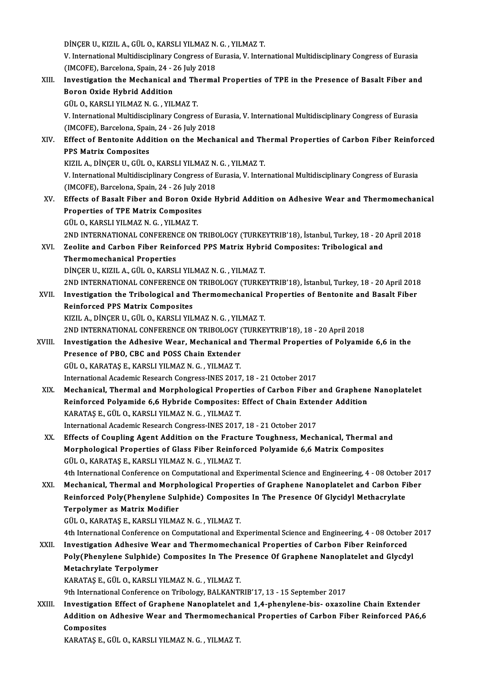DİNÇER U., KIZIL A., GÜL O., KARSLI YILMAZ N. G. , YILMAZ T.<br>V. International Multidissiplinary Congress of Eurosia V. Inter

V. International Multidisciplinary Congress of Eurasia, V. International Multidisciplinary Congress of Eurasia<br>(IMCOFE), Barcelona, Spain, 24 - 26 July 2018 DİNÇER U., KIZIL A., GÜL O., KARSLI YILMAZ N.<br>V. International Multidisciplinary Congress of E<br>(IMCOFE), Barcelona, Spain, 24 - 26 July 2018<br>Investigation the Meshanisel and Therme V. International Multidisciplinary Congress of Eurasia, V. International Multidisciplinary Congress of Eurasia<br>(IMCOFE), Barcelona, Spain, 24 - 26 July 2018<br>XIII. Investigation the Mechanical and Thermal Properties of TPE

(IMCOFE), Barcelona, Spain, 24 - 2<br>Investigation the Mechanical<br>Boron Oxide Hybrid Addition<br>CÜLO KAPSLUVU MAZN C - VU Investigation the Mechanical and Th<br>Boron Oxide Hybrid Addition<br>GÜL O., KARSLI YILMAZ N. G. , YILMAZ T.<br>V. International Multidissinlinery Congres Boron Oxide Hybrid Addition<br>GÜL O., KARSLI YILMAZ N. G. , YILMAZ T.<br>V. International Multidisciplinary Congress of Eurasia, V. International Multidisciplinary Congress of Eurasia<br>(IMCOEE), Parcelara, Spain. 24 – 26 July 20 GÜL O., KARSLI YILMAZ N. G. , YILMAZ T.<br>V. International Multidisciplinary Congress of E<br>(IMCOFE), Barcelona, Spain, 24 - 26 July 2018<br>Effect of Bontonito Addition on the Mosh: V. International Multidisciplinary Congress of Eurasia, V. International Multidisciplinary Congress of Eurasia<br>(IMCOFE), Barcelona, Spain, 24 - 26 July 2018<br>XIV. Effect of Bentonite Addition on the Mechanical and Thermal P (IMCOFE), Barcelona, Spai<br>Effect of Bentonite Add<br>PPS Matrix Composites<br>PIZU A DINCER U CÜLO Effect of Bentonite Addition on the Mechanical and Th<br>PPS Matrix Composites<br>KIZIL A., DİNÇER U., GÜL O., KARSLI YILMAZ N. G. , YILMAZ T.<br>V. International Multidissinlinery Congress of Eurasia V. Inter PPS Matrix Composites<br>KIZIL A., DINÇER U., GÜL O., KARSLI YILMAZ N. G. , YILMAZ T.<br>V. International Multidisciplinary Congress of Eurasia, V. International Multidisciplinary Congress of Eurasia<br>(IMCOFE), Barcelona, Spain, KIZIL A., DİNÇER U., GÜL O., KARSLI YILMAZ N. G., YILMAZ T. V. International Multidisciplinary Congress of Eurasia, V. International Multidisciplinary Congress of Eurasia<br>(IMCOFE), Barcelona, Spain, 24 - 26 July 2018<br>XV. Effects of Basalt Fiber and Boron Oxide Hybrid Addition on Ad (IMCOFE), Barcelona, Spain, 24 - 26 July 2)<br>Effects of Basalt Fiber and Boron Oxi<br>Properties of TPE Matrix Composites Effects of Basalt Fiber and Boron Ox<br>Properties of TPE Matrix Composite<br>GÜL O., KARSLI YILMAZ N. G. , YILMAZ T.<br>2ND INTERNATIONAL CONEERENCE ON Properties of TPE Matrix Composites<br>GÜL O., KARSLI YILMAZ N. G. , YILMAZ T.<br>2ND INTERNATIONAL CONFERENCE ON TRIBOLOGY (TURKEYTRIB'18), İstanbul, Turkey, 18 - 20 April 2018 GÜL O., KARSLI YILMAZ N. G. , YILMAZ T.<br>2ND INTERNATIONAL CONFERENCE ON TRIBOLOGY (TURKEYTRIB'18), İstanbul, Turkey, 18 - 20<br>XVI. Zeolite and Carbon Fiber Reinforced PPS Matrix Hybrid Composites: Tribological and<br>Therm 2ND INTERNATIONAL CONFEREN<br>Zeolite and Carbon Fiber Reini<br>Thermomechanical Properties<br>DiNGER H KIZH A GÜLO KARSI Zeolite and Carbon Fiber Reinforced PPS Matrix Hybri<br>Thermomechanical Properties<br>DİNÇER U., KIZIL A., GÜL O., KARSLI YILMAZ N. G. , YILMAZ T.<br>2ND INTERNATIONAL CONEERENCE ON TRIBOLOCY (TURKE Thermomechanical Properties<br>DİNÇER U., KIZIL A., GÜL O., KARSLI YILMAZ N. G. , YILMAZ T.<br>2ND INTERNATIONAL CONFERENCE ON TRIBOLOGY (TURKEYTRIB'18), İstanbul, Turkey, 18 - 20 April 2018<br>Investigation the Tribological and Th DİNÇER U., KIZIL A., GÜL O., KARSLI YILMAZ N. G. , YILMAZ T.<br>2ND INTERNATIONAL CONFERENCE ON TRIBOLOGY (TURKEYTRIB'18), İstanbul, Turkey, 18 - 20 April 2018<br>XVII. Investigation the Tribological and Thermomechanical Propert 2ND INTERNATIONAL CONFERENCE ON<br>Investigation the Tribological and T<br>Reinforced PPS Matrix Composites<br>FIZU A DINGER U. CÜLO KARSLIVU Investigation the Tribological and Thermomechanical<br>Reinforced PPS Matrix Composites<br>KIZIL A., DİNÇER U., GÜL O., KARSLI YILMAZ N. G. , YILMAZ T.<br>2ND INTERNATIONAL CONEERENCE ON TRIROLOCY (TURKE Reinforced PPS Matrix Composites<br>2NDINGER U., GÜL O., KARSLI YILMAZ N. G. , YILMAZ T.<br>2ND INTERNATIONAL CONFERENCE ON TRIBOLOGY (TURKEYTRIB'18), 18 - 20 April 2018 KIZIL A., DİNÇER U., GÜL O., KARSLI YILMAZ N. G. , YILMAZ T.<br>2ND INTERNATIONAL CONFERENCE ON TRIBOLOGY (TURKEYTRIB'18), 18 - 20 April 2018<br>XVIII. Investigation the Adhesive Wear, Mechanical and Thermal Properties of Polyam 2ND INTERNATIONAL CONFERENCE ON TRIBOLOGY (<br>Investigation the Adhesive Wear, Mechanical an<br>Presence of PBO, CBC and POSS Chain Extender<br>CULO, KARATAS E, KARSLUVUMAZ N.C., VUMAZ T Investigation the Adhesive Wear, Mechanical an<br>Presence of PBO, CBC and POSS Chain Extender<br>GÜL O., KARATAŞ E., KARSLI YILMAZ N. G. , YILMAZ T.<br>International Academis Besearsh Congress INES 2017 Presence of PBO, CBC and POSS Chain Extender<br>GÜL O., KARATAŞ E., KARSLI YILMAZ N. G. , YILMAZ T.<br>International Academic Research Congress-INES 2017, 18 - 21 October 2017 GÜL O., KARATAŞ E., KARSLI YILMAZ N. G. , YILMAZ T.<br>International Academic Research Congress-INES 2017, 18 - 21 October 2017<br>XIX. Mechanical, Thermal and Morphological Properties of Carbon Fiber and Graphene Nanoplatelet<br>P International Academic Research Congress-INES 2017, 18 - 21 October 2017<br>Mechanical, Thermal and Morphological Properties of Carbon Fiber and Graphene<br>Reinforced Polyamide 6,6 Hybride Composites: Effect of Chain Extender A Mechanical, Thermal and Morphological Proper<br>Reinforced Polyamide 6,6 Hybride Composites:<br>KARATAŞ E., GÜL O., KARSLI YILMAZ N. G. , YILMAZ T.<br>International Academia Besearsh Congress INES 2017 Reinforced Polyamide 6,6 Hybride Composites: Effect of Chain Extender Addition<br>KARATAŞ E., GÜL O., KARSLI YILMAZ N. G. , YILMAZ T.<br>International Academic Research Congress-INES 2017, 18 - 21 October 2017 XX. Effects of Coupling Agent Addition on the Fracture Toughness, Mechanical, Thermal and International Academic Research Congress-INES 2017, 18 - 21 October 2017<br>Effects of Coupling Agent Addition on the Fracture Toughness, Mechanical, Thermal ar<br>Morphological Properties of Glass Fiber Reinforced Polyamide 6,6 Effects of Coupling Agent Addition on the Fractu<br>Morphological Properties of Glass Fiber Reinfor<br>GÜL O., KARATAŞ E., KARSLI YILMAZ N. G. , YILMAZ T.<br>Ath International Conference on Computational and E. GÜL O., KARATAŞ E., KARSLI YILMAZ N. G. , YILMAZ T.<br>4th International Conference on Computational and Experimental Science and Engineering, 4 - 08 October 2017 GÜL O., KARATAŞ E., KARSLI YILMAZ N. G. , YILMAZ T.<br>4th International Conference on Computational and Experimental Science and Engineering, 4 - 08 October 20<br>XXI. Mechanical, Thermal and Morphological Properties of Graphen 4th International Conference on Computational and Experimental Science and Engineering, 4 - 08 Octobe<br>Mechanical, Thermal and Morphological Properties of Graphene Nanoplatelet and Carbon F<br>Reinforced Poly(Phenylene Sulphid Mechanical, Thermal and Morpl<br>Reinforced Poly(Phenylene Sul<sub>)</sub><br>Terpolymer as Matrix Modifier<br>C<sup>iji</sup> O KABATAS E KABSLIVII MA Reinforced Poly(Phenylene Sulphide) Composites In The Presence Of Glycidyl Methacrylate<br>Terpolymer as Matrix Modifier<br>GÜL O., KARATAŞ E., KARSLI YILMAZ N. G. , YILMAZ T. Terpolymer as Matrix Modifier<br>GÜL O., KARATAŞ E., KARSLI YILMAZ N. G. , YILMAZ T.<br>4th International Conference on Computational and Experimental Science and Engineering, 4 - 08 October 2017<br>Investigation Adhesiye Wear and GÜL O., KARATAŞ E., KARSLI YILMAZ N. G. , YILMAZ T.<br>4th International Conference on Computational and Experimental Science and Engineering, 4 - 08 October<br>XXII. Investigation Adhesive Wear and Thermomechanical Properties o 4th International Conference on Computational and Experimental Science and Engineering, 4 - 08 October<br>Investigation Adhesive Wear and Thermomechanical Properties of Carbon Fiber Reinforced<br>Poly(Phenylene Sulphide) Composi XXII. Investigation Adhesive Wear and Thermomechanical Properties of Carbon Fiber Reinforced<br>Poly(Phenylene Sulphide) Composites In The Presence Of Graphene Nanoplatelet and Glycdy<br>Metachrylate Terpolymer<br>KARATAŞ E., GÜL O Poly (Phenylene Sulphide) Composites In The Presence Of Graphene Nanoplatelet and Glycdyl 9th International Conference on Tribology, BALKANTRIB'17, 13 - 15 September 2017 KARATAŞ E., GÜL O., KARSLI YILMAZ N. G. , YILMAZ T.<br>9th International Conference on Tribology, BALKANTRIB'17, 13 - 15 September 2017<br>2011. Investigation Effect of Graphene Nanoplatelet and 1,4-phenylene-bis- oxazoline Chai 9th International Conference on Tribology, BALKANTRIB'17, 13 - 15 September 2017<br>Investigation Effect of Graphene Nanoplatelet and 1,4-phenylene-bis- oxazoline Chain Extender<br>Addition on Adhesive Wear and Thermomechanical Investigatio<br>Addition on<br>Composites<br>KARATAS E Addition on Adhesive Wear and Thermomechanical Properties of Carbon Fiber Reinforced PA6,6<br>Composites<br>KARATAŞ E., GÜL O., KARSLI YILMAZ N. G. , YILMAZ T.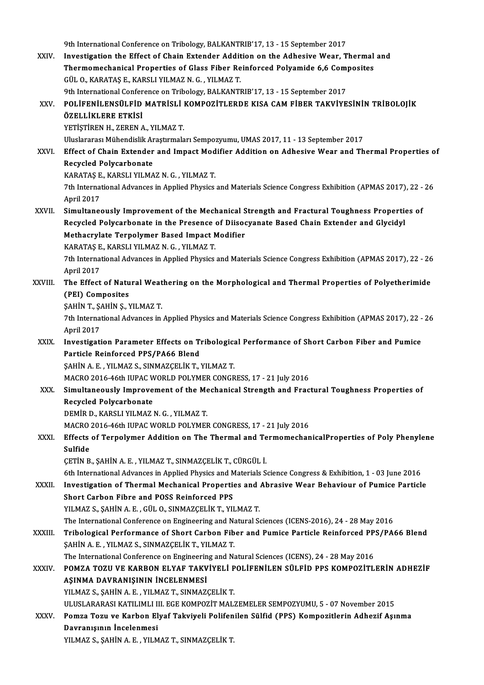|             | 9th International Conference on Tribology, BALKANTRIB'17, 13 - 15 September 2017                              |
|-------------|---------------------------------------------------------------------------------------------------------------|
| XXIV.       | Investigation the Effect of Chain Extender Addition on the Adhesive Wear, Thermal and                         |
|             | Thermomechanical Properties of Glass Fiber Reinforced Polyamide 6,6 Composites                                |
|             | GÜL O., KARATAŞ E., KARSLI YILMAZ N. G., YILMAZ T.                                                            |
|             | 9th International Conference on Tribology, BALKANTRIB'17, 13 - 15 September 2017                              |
| XXV.        | POLIFENILENSÜLFID MATRISLI KOMPOZITLERDE KISA CAM FIBER TAKVIYESININ TRIBOLOJIK                               |
|             | ÖZELLİKLERE ETKİSİ                                                                                            |
|             | YETIŞTIREN H., ZEREN A., YILMAZ T.                                                                            |
|             |                                                                                                               |
|             | Uluslararası Mühendislik Araştırmaları Sempozyumu, UMAS 2017, 11 - 13 September 2017                          |
| XXVI.       | Effect of Chain Extender and Impact Modifier Addition on Adhesive Wear and Thermal Properties of              |
|             | Recycled Polycarbonate                                                                                        |
|             | KARATAŞ E, KARSLI YILMAZ N. G., YILMAZ T.                                                                     |
|             | 7th International Advances in Applied Physics and Materials Science Congress Exhibition (APMAS 2017), 22 - 26 |
|             | April 2017                                                                                                    |
| XXVII.      | Simultaneously Improvement of the Mechanical Strength and Fractural Toughness Properties of                   |
|             | Recycled Polycarbonate in the Presence of Diisocyanate Based Chain Extender and Glycidyl                      |
|             | Methacrylate Terpolymer Based Impact Modifier                                                                 |
|             | KARATAŞ E., KARSLI YILMAZ N. G., YILMAZ T.                                                                    |
|             | 7th International Advances in Applied Physics and Materials Science Congress Exhibition (APMAS 2017), 22 - 26 |
|             | April 2017                                                                                                    |
| XXVIII.     | The Effect of Natural Weathering on the Morphological and Thermal Properties of Polyetherimide                |
|             | (PEI) Composites                                                                                              |
|             | ŞAHİN T., ŞAHİN Ş., YILMAZ T.                                                                                 |
|             | 7th International Advances in Applied Physics and Materials Science Congress Exhibition (APMAS 2017), 22 - 26 |
|             | April 2017                                                                                                    |
| XXIX.       | Investigation Parameter Effects on Tribological Performance of Short Carbon Fiber and Pumice                  |
|             | Particle Reinforced PPS/PA66 Blend                                                                            |
|             | ŞAHİN A. E., YILMAZ S., SINMAZÇELİK T., YILMAZ T.                                                             |
|             | MACRO 2016-46th IUPAC WORLD POLYMER CONGRESS, 17 - 21 July 2016                                               |
| XXX.        | Simultaneously Improvement of the Mechanical Strength and Fractural Toughness Properties of                   |
|             | <b>Recycled Polycarbonate</b>                                                                                 |
|             | DEMİR D., KARSLI YILMAZ N. G., YILMAZ T.                                                                      |
|             | MACRO 2016-46th IUPAC WORLD POLYMER CONGRESS, 17 - 21 July 2016                                               |
| XXXI.       | Effects of Terpolymer Addition on The Thermal and TermomechanicalProperties of Poly Phenylene                 |
|             | Sulfide                                                                                                       |
|             | ÇETİN B., ŞAHİN A. E., YILMAZ T., SINMAZÇELİK T., CÜRGÜL İ.                                                   |
|             | 6th International Advances in Applied Physics and Materials Science Congress & Exhibition, 1 - 03 June 2016   |
| XXXII.      | Investigation of Thermal Mechanical Properties and Abrasive Wear Behaviour of Pumice Particle                 |
|             | Short Carbon Fibre and POSS Reinforced PPS                                                                    |
|             |                                                                                                               |
|             | YILMAZ S., ŞAHİN A. E., GÜL O., SINMAZÇELİK T., YILMAZ T.                                                     |
|             | The International Conference on Engineering and Natural Sciences (ICENS-2016), 24 - 28 May 2016               |
| XXXIII.     | Tribological Performance of Short Carbon Fiber and Pumice Particle Reinforced PPS/PA66 Blend                  |
|             | ŞAHİN A. E., YILMAZ S., SINMAZÇELİK T., YILMAZ T.                                                             |
|             | The International Conference on Engineering and Natural Sciences (ICENS), 24 - 28 May 2016                    |
| XXXIV       | POMZA TOZU VE KARBON ELYAF TAKVİYELİ POLİFENİLEN SÜLFİD PPS KOMPOZİTLERİN ADHEZİF                             |
|             | AŞINMA DAVRANIŞININ İNCELENMESİ                                                                               |
|             | YILMAZ S., ŞAHİN A. E., YILMAZ T., SINMAZÇELİK T.                                                             |
|             | ULUSLARARASI KATILIMLI III. EGE KOMPOZİT MALZEMELER SEMPOZYUMU, 5 - 07 November 2015                          |
| <b>XXXV</b> | Pomza Tozu ve Karbon Elyaf Takviyeli Polifenilen Sülfid (PPS) Kompozitlerin Adhezif Aşınma                    |
|             | Davranışının İncelenmesi                                                                                      |
|             | YILMAZ S., ŞAHİN A. E., YILMAZ T., SINMAZÇELİK T.                                                             |
|             |                                                                                                               |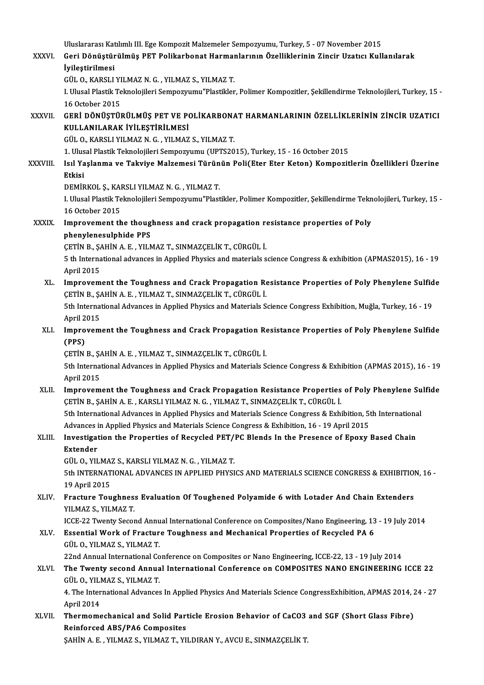Uluslararası Katılımlı III. Ege Kompozit Malzemeler Sempozyumu, Turkey, 5 - 07 November 2015<br>Ceni Dönüstünülmüş PET Polikarbanat Harmanlarının Özelliklerinin Zingir Uratısı Kull Uluslararası Katılımlı III. Ege Kompozit Malzemeler Sempozyumu, Turkey, 5 - 07 November 2015<br>XXXVI. Geri Dönüştürülmüş PET Polikarbonat Harmanlarının Özelliklerinin Zincir Uzatıcı Kullanılarak<br>İvilestinilmesi Uluslararası Kat<br>Geri Dönüştür<br>İyileştirilmesi<br>Cül O KARSLL Geri Dönüştürülmüş PET Polikarbonat Harmaı<br>İyileştirilmesi<br>GÜL O., KARSLI YILMAZ N. G. , YILMAZ S., YILMAZ T.<br>LUlusel Plastik Telmalejileri Sermesunumu"Plastikler İ**yileştirilmesi**<br>GÜL O., KARSLI YILMAZ N. G. , YILMAZ S., YILMAZ T.<br>I. Ulusal Plastik Teknolojileri Sempozyumu"Plastikler, Polimer Kompozitler, Şekillendirme Teknolojileri, Turkey, 15 -<br>16 October 2015 GÜL O., KARSLI YILMAZ N. G., YILMAZ S., YILMAZ T. I. Ulusal Plastik Teknolojileri Sempozyumu"Plastikler, Polimer Kompozitler, Şekillendirme Teknolojileri, Turkey, 15<br>16 October 2015<br>XXXVII. GERİ DÖNÜŞTÜRÜLMÜŞ PET VE POLİKARBONAT HARMANLARININ ÖZELLİKLERİNİN ZİNCİR UZA 16 October 2015<br>GERİ DÖNÜŞTÜRÜLMÜŞ PET VE PO<br>KULLANILARAK İYİLEŞTİRİLMESİ<br>CÜL O, KARSI I YU MAZ N.C., YU MAZ GERİ DÖNÜŞTÜRÜLMÜŞ PET VE POLİKARBON*!*<br>KULLANILARAK İYİLEŞTİRİLMESİ<br>GÜL O., KARSLI YILMAZ N. G. , YILMAZ S., YILMAZ T.<br>1. Ulusal Plastik Taknalajileri Semnezzumu (UPTS20 KULLANILARAK İYİLEŞTİRİLMESİ<br>GÜL O., KARSLI YILMAZ N. G. , YILMAZ S., YILMAZ T.<br>1. Ulusal Plastik Teknolojileri Sempozyumu (UPTS2015), Turkey, 15 - 16 October 2015<br>Isıl Yaslanma ve Takvive Maksmesi Türünün Boli(Eter Eter K GÜL O., KARSLI YILMAZ N. G. , YILMAZ S., YILMAZ T.<br>1. Ulusal Plastik Teknolojileri Sempozyumu (UPTS2015), Turkey, 15 - 16 October 2015<br>XXXVIII. Isıl Yaşlanma ve Takviye Malzemesi Türünün Poli(Eter Eter Keton) Kompozitl 1. Ulus<br>Isıl Ya<br>Etkisi<br>DEMin Isıl Yaşlanma ve Takviye Malzemesi Türün<br>Etkisi<br>DEMİRKOL Ş., KARSLI YILMAZ N. G. , YILMAZ T.<br>L Ulusal Plastik Telmolojileri Semnezuymu"Plast Etkisi<br>DEMİRKOL Ş., KARSLI YILMAZ N. G. , YILMAZ T.<br>I. Ulusal Plastik Teknolojileri Sempozyumu"Plastikler, Polimer Kompozitler, Şekillendirme Teknolojileri, Turkey, 15 -DEMİRKOL Ş., KAI<br>I. Ulusal Plastik Te<br>16 October 2015<br>Imnasyomant th I. Ulusal Plastik Teknolojileri Sempozyumu"Plastikler, Polimer Kompozitler, Şekillendirme Tekn<br>16 October 2015<br>XXXIX. Improvement the thoughness and crack propagation resistance properties of Poly 16 October 2015<br>Improvement the thoughness and crack propagation resistance properties of Poly<br>phenylenesulphide PPS Improvement the thoughness and crack propagation rephenylenesulphide PPS<br>ÇETİN B., ŞAHİN A.E. , YILMAZ T., SINMAZÇELİK T., CÜRGÜL İ.<br>E.th International advances in Annlied Physics and materials s phenylenesulphide PPS<br>ÇETİN B., ŞAHİN A. E. , YILMAZ T., SINMAZÇELİK T., CÜRGÜL İ.<br>5 th International advances in Applied Physics and materials science Congress & exhibition (APMAS2015), 16 - 19 CETIN B., ŞA<br>5 th Interna<br>April 2015<br>Improvem S th International advances in Applied Physics and materials science Congress & exhibition (APMAS2015), 16 - 19<br>April 2015<br>XL. Improvement the Toughness and Crack Propagation Resistance Properties of Poly Phenylene Sulfide April 2015<br>Improvement the Toughness and Crack Propagation Resistance Properties of Poly Phenylene Sulfide<br>ÇETİN B., ŞAHİN A. E. , YILMAZ T., SINMAZÇELİK T., CÜRGÜL İ. Improvement the Toughness and Crack Propagation Resistance Properties of Poly Phenylene Sulfid<br>ÇETİN B., ŞAHİN A. E. , YILMAZ T., SINMAZÇELİK T., CÜRGÜL İ.<br>5th International Advances in Applied Physics and Materials Scienc CETIN B., ŞA<br>5th Interna<br>April 2015<br>Improvem 5th International Advances in Applied Physics and Materials Science Congress Exhibition, Muğla, Turkey, 16 - 19<br>April 2015<br>XLI. Improvement the Toughness and Crack Propagation Resistance Properties of Poly Phenylene Sulfid April 2015<br>Improvem<br>(PPS) Improvement the Toughness and Crack Propagation Resistance Properties of Poly Phenylene Sulfide 5th International Advances in Applied Physics and Materials Science Congress & Exhibition (APMAS 2015), 16 - 19<br>April 2015 CETIN B., SAHIN A. E., YILMAZ T., SINMAZCELIK T., CÜRGÜL İ. Sth International Advances in Applied Physics and Materials Science Congress & Exhibition (APMAS 2015), 16 - 19<br>April 2015<br>XLII. Improvement the Toughness and Crack Propagation Resistance Properties of Poly Phenylene Sulfi April 2015<br>Improvement the Toughness and Crack Propagation Resistance Properties<br>ÇETİN B., ŞAHİN A. E. , KARSLI YILMAZ N. G. , YILMAZ T., SINMAZÇELİK T., CÜRGÜL İ.<br>Eth International Advances in Applied Physics and Material Improvement the Toughness and Crack Propagation Resistance Properties of Poly Phenylene Su<br>CETIN B., SAHIN A. E. , KARSLI YILMAZ N. G. , YILMAZ T., SINMAZCELIK T., CÜRGÜL I.<br>5th International Advances in Applied Physics an CETIN B., SAHIN A. E. , KARSLI YILMAZ N. G. , YILMAZ T., SINMAZCELIK T., CÜRGÜL I.<br>5th International Advances in Applied Physics and Materials Science Congress & Exhibition, 5t<br>Advances in Applied Physics and Materials Sci 5th International Advances in Applied Physics and Materials Science Congress & Exhibition, 5th International<br>Advances in Applied Physics and Materials Science Congress & Exhibition, 16 - 19 April 2015<br>XLIII. Investigation Advances in Applied Physics and Materials Science Congress & Exhibition, 16 - 19 April 2015<br>Investigation the Properties of Recycled PET/PC Blends In the Presence of Epoxy<br>Extender<br>GÜL 0.. YILMAZ S.. KARSLI YILMAZ N. G. . XLIII. Investigation the Properties of Recycled PET/PC Blends In the Presence of Epoxy Based Chain Extender<br>GÜL O., YILMAZ S., KARSLI YILMAZ N. G. , YILMAZ T.<br>5th INTERNATIONAL ADVANCES IN APPLIED PHYSICS AND MATERIALS SCIENCE CONGRESS & EXHIBITION, 16 -<br>19 April 2015 GÜL O., YILMA<br>5th INTERNAT<br>19 April 2015<br>Enasture Tou 5th INTERNATIONAL ADVANCES IN APPLIED PHYSICS AND MATERIALS SCIENCE CONGRESS & EXHIBITION<br>19 April 2015<br>XLIV. Fracture Toughness Evaluation Of Toughened Polyamide 6 with Lotader And Chain Extenders<br>VII MAZ S VII MAZ T 19 April 2015<br>Fracture Toughness Evaluation Of Toughened Polyamide 6 with Lotader And Chain Extenders<br>YILMAZ S., YILMAZ T. Fracture Toughness Evaluation Of Toughened Polyamide 6 with Lotader And Chain Extenders<br>YILMAZ S., YILMAZ T.<br>ICCE-22 Twenty Second Annual International Conference on Composites/Nano Engineering, 13 - 19 July 2014<br>Essential YILMAZ S., YILMAZ T.<br>ICCE-22 Twenty Second Annual International Conference on Composites/Nano Engineering, 13<br>XLV. Essential Work of Fracture Toughness and Mechanical Properties of Recycled PA 6 ICCE-22 Twenty Second Annu<br>Essential Work of Fractur<br>GÜL O., YILMAZ S., YILMAZ T.<br>22nd Annual International Co Essential Work of Fracture Toughness and Mechanical Properties of Recycled PA 6<br>GÜL 0., YILMAZ S., YILMAZ T.<br>22nd Annual International Conference on Composites or Nano Engineering, ICCE-22, 13 - 19 July 2014 GÜL O., YILMAZ S., YILMAZ T.<br>22nd Annual International Conference on Composites or Nano Engineering, ICCE-22, 13 - 19 July 2014<br>XLVI. The Twenty second Annual International Conference on COMPOSITES NANO ENGINEERING ICCE 22 22nd Annual International Co<br>The Twenty second Annua<br>GÜL O., YILMAZ S., YILMAZ T. The Twenty second Annual International Conference on COMPOSITES NANO ENGINEERING ICCE 22<br>GÜL O., YILMAZ S., YILMAZ T.<br>4. The International Advances In Applied Physics And Materials Science CongressExhibition, APMAS 2014, 2 GÜL O., YILI<br>4. The Inter<br>April 2014<br>Thermome 4. The International Advances In Applied Physics And Materials Science CongressExhibition, APMAS 2014, 2<br>April 2014<br>XLVII. Thermomechanical and Solid Particle Erosion Behavior of CaCO3 and SGF (Short Glass Fibre) April 2014<br>Thermomechanical and Solid Part<br>Reinforced ABS/PA6 Composites<br>SAHIN A E - YU MAZ S- YU MAZ T- YU Thermomechanical and Solid Particle Erosion Behavior of CaCO3<br>Reinforced ABS/PA6 Composites<br>ŞAHİN A. E. , YILMAZ S., YILMAZ T., YILDIRAN Y., AVCU E., SINMAZÇELİK T.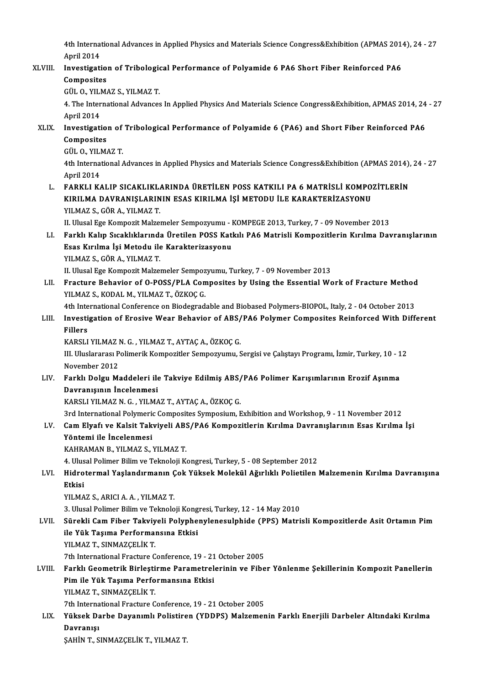4th International Advances in Applied Physics and Materials Science Congress&Exhibition (APMAS 2014), 24 - 27<br>April 2014 4th Interna<br>April 2014<br>Investigati 4th International Advances in Applied Physics and Materials Science Congress&Exhibition (APMAS 2014<br>April 2014<br>XLVIII. Investigation of Tribological Performance of Polyamide 6 PA6 Short Fiber Reinforced PA6

## April 2014<br>Investigation of Tribological Performance of Polyamide 6 PA6 Short Fiber Reinforced PA6<br>Composites Investigation of Tribologie<br>Composites<br>GÜL O., YILMAZ S., YILMAZ T.<br>4. The International Advances

4. The International Advances In Applied Physics And Materials Science Congress&Exhibition, APMAS 2014, 24 - 27<br>April 2014 GÜL O., YILI<br>4. The Inter<br>April 2014<br>Investigati 4. The International Advances In Applied Physics And Materials Science Congress&Exhibition, APMAS 2014, 24<br>April 2014<br>XLIX. Investigation of Tribological Performance of Polyamide 6 (PA6) and Short Fiber Reinforced PA6

- April 2014<br>Investigatio<br>Composites<br>CÜLO VILM Investigation of<br>Composites<br>GÜL 0., YILMAZ T.<br>Ath International
	-

Composites<br>GÜL O., YILMAZ T.<br>4th International Advances in Applied Physics and Materials Science Congress&Exhibition (APMAS 2014), 24 - 27 GÜL O., YILMAZ T.<br>4th International Advances in Applied Physics and Materials Science Congress&Exhibition (APMAS 2014)<br>4th International Advances in Applied Physics and Materials Science Congress&Exhibition (APMAS 2014)<br>5t 4th International Advances in Applied Physics and Materials Science Congress&Exhibition (APMAS 2014),<br>April 2014<br>L. FARKLI KALIP SICAKLIKLARINDA ÜRETİLEN POSS KATKILI PA 6 MATRİSLİ KOMPOZİTLERİN<br>KIPU MA DAVPANISI APININ ES

April 2014<br>FARKLI KALIP SICAKLIKLARINDA ÜRETİLEN POSS KATKILI PA 6 MATRİSLİ KOMPO:<br>KIRILMA DAVRANIŞLARININ ESAS KIRILMA İŞİ METODU İLE KARAKTERİZASYONU<br>YU MAZ S. GÖP A. YU MAZ T. FARKLI KALIP SICAKLIKL<mark>)</mark><br>KIRILMA DAVRANIŞLARIN<br>YILMAZ S., GÖR A., YILMAZ T.<br>II. Illusal Ese Kempesit Malsa KIRILMA DAVRANIŞLARININ ESAS KIRILMA İŞİ METODU İLE KARAKTERİZASYONU<br>YILMAZ S., GÖR A., YILMAZ T.<br>II. Ulusal Ege Kompozit Malzemeler Sempozyumu - KOMPEGE 2013, Turkey, 7 - 09 November 2013<br>Farklı Kalın Sısaklıklarında Ünat

YILMAZ S., GÖR A., YILMAZ T.<br>II. Ulusal Ege Kompozit Malzemeler Sempozyumu - KOMPEGE 2013, Turkey, 7 - 09 November 2013<br>LI. Farklı Kalıp Sıcaklıklarında Üretilen POSS Katkılı PA6 Matrisli Kompozitlerin Kırılma Davranışla II. Ulusal Ege Kompozit Malzemeler Sempozyumu - I<br>Farklı Kalıp Sıcaklıklarında Üretilen POSS Katl<br>Esas Kırılma İşi Metodu ile Karakterizasyonu<br>YU MAZ S. GÖP A. YU MAZ T. Farklı Kalıp Sıcaklıklarınd:<br>Esas Kırılma İşi Metodu ile<br>YILMAZ S., GÖR A., YILMAZ T.<br>II Hlusal Ese Kemperit Malza Esas Kırılma İşi Metodu ile Karakterizasyonu<br>YILMAZ S., GÖR A., YILMAZ T.<br>II. Ulusal Ege Kompozit Malzemeler Sempozyumu, Turkey, 7 - 09 November 2013<br>Enasture Behaviar of O. BOSS (BLA Composites by Heins the Essential We

YILMAZ S., GÖR A., YILMAZ T.<br>II. Ulusal Ege Kompozit Malzemeler Sempozyumu, Turkey, 7 - 09 November 2013<br>LII. Fracture Behavior of O-POSS/PLA Composites by Using the Essential Work of Fracture Method<br>YILMAZ S., KODAL M., Y II. Ulusal Ege Kompozit Malzemeler Sempoz<br>Fracture Behavior of O-POSS/PLA Con<br>YILMAZ S., KODAL M., YILMAZ T., ÖZKOÇ G.<br>4th International Conference en Biodegrad Fracture Behavior of O-POSS/PLA Composites by Using the Essential Work of Fracture Method<br>YILMAZ S., KODAL M., YILMAZ T., ÖZKOÇ G.<br>4th International Conference on Biodegradable and Biobased Polymers-BIOPOL, Italy, 2 - 04 O

## YILMAZ S., KODAL M., YILMAZ T., ÖZKOÇ G.<br>4th International Conference on Biodegradable and Biobased Polymers-BIOPOL, Italy, 2 - 04 October 2013<br>5. LIII. Investigation of Erosive Wear Behavior of ABS/PA6 Polymer Composites 4th Inte<br>I<mark>nvesti</mark><br>Fillers<br>KARSI I Investigation of Erosive Wear Behavior of ABS/<br>Fillers<br>KARSLI YILMAZ N. G. , YILMAZ T., AYTAÇ A., ÖZKOÇ G.<br>IIL Illuslararası Bolimarik Kompozitlar Sampozuumu. S

Fillers<br>KARSLI YILMAZ N. G. , YILMAZ T., AYTAÇ A., ÖZKOÇ G.<br>III. Uluslararası Polimerik Kompozitler Sempozyumu, Sergisi ve Çalıştayı Programı, İzmir, Turkey, 10 - 12<br>November 2012 KARSLI YILMAZ N. G., YILMAZ T., AYTAÇ A., ÖZKOÇ G. III. Uluslararası Polimerik Kompozitler Sempozyumu, Sergisi ve Çalıştayı Programı, İzmir, Turkey, 10 - 1<br>November 2012<br>LIV. Farklı Dolgu Maddeleri ile Takviye Edilmiş ABS/PA6 Polimer Karışımlarının Erozif Aşınma<br>Dayran

November 2012<br>Farklı Dolgu Maddeleri ile<br>Davranışının İncelenmesi<br>KARSLI VILMAZ N.C. VILMA Farklı Dolgu Maddeleri ile Takviye Edilmiş ABS/<br>Davranışının İncelenmesi<br>KARSLI YILMAZ N. G. , YILMAZ T., AYTAÇ A., ÖZKOÇ G.<br><sup>2nd Intornational Dolumeris Composites Sumposium E</sup> Davranışının İncelenmesi<br>KARSLI YILMAZ N. G. , YILMAZ T., AYTAÇ A., ÖZKOÇ G.<br>3rd International Polymeric Composites Symposium, Exhibition and Workshop, 9 - 11 November 2012<br>Cam Elyafı ve Kalsit Telyyiyeli ABS (BAS Komposit

## KARSLI YILMAZ N. G. , YILMAZ T., AYTAÇ A., ÖZKOÇ G.<br>3rd International Polymeric Composites Symposium, Exhibition and Workshop, 9 - 11 November 2012<br>LV. Cam Elyafı ve Kalsit Takviyeli ABS/PA6 Kompozitlerin Kırılma Davra 3rd International Polymeri<br>Cam Elyafı ve Kalsit Tak<br>Yöntemi ile İncelenmesi<br>KAHRAMAN B. VILMAZ S. LV. Cam Elyafı ve Kalsit Takviyeli ABS/PA6 Kompozitlerin Kırılma Davranışlarının Esas Kırılma İşi<br>Yöntemi ile İncelenmesi<br>KAHRAMAN B., YILMAZ S., YILMAZ T.

Yöntemi ile İncelenmesi<br>KAHRAMAN B., YILMAZ S., YILMAZ T.<br>4. Ulusal Polimer Bilim ve Teknoloji Kongresi, Turkey, 5 - 08 September 2012<br>Hidnotonmal Vaslandumanın Col: Vülsek Malekül Ağırlıklı Bolistilen i

## KAHRAMAN B., YILMAZ S., YILMAZ T.<br>4. Ulusal Polimer Bilim ve Teknoloji Kongresi, Turkey, 5 - 08 September 2012<br>LVI. Hidrotermal Yaşlandırmanın Çok Yüksek Molekül Ağırlıklı Polietilen Malzemenin Kırılma Davranışına<br>Riki 4. Ulus<br><mark>Hidro</mark><br>Etkisi<br><sup>VII MA</sup> Hidrotermal Yaşlandırmanın Ç<br>Etkisi<br>YILMAZ S., ARICI A. A. , YILMAZ T.<br><sup>2. Hurcal Polimar Bilim ve Tolmalo</sup> <mark>Etkisi</mark><br>19. YILMAZ S., ARICI A. A. , YILMAZ T.<br>3. Ulusal Polimer Bilim ve Teknoloji Kongresi, Turkey, 12 - 14 May 2010

YILMAZ S., ARICI A. A. , YILMAZ T.<br>3. Ulusal Polimer Bilim ve Teknoloji Kongresi, Turkey, 12 - 14 May 2010<br>LVII. Sürekli Cam Fiber Takviyeli Polyphenylenesulphide (PPS) Matrisli Kompozitlerde Asit Ortamın Pim<br>ile Vük T 3. Ulusal Polimer Bilim ve Teknoloji Kong<br>Sürekli Cam Fiber Takviyeli Polyphe<br>ile Yük Taşıma Performansına Etkisi<br>VII MAZ T. SINMAZCELİK T Sürekli Cam Fiber Takviy<br>ile Yük Taşıma Performa<br>YILMAZ T., SINMAZÇELİK T.<br><sup>7th International Frecture C</sup> ile Yük Taşıma Performansına Etkisi<br>1915 YILMAZ T., SINMAZÇELİK T.<br>7th International Fracture Conference, 19 - 21 October 2005

YILMAZ T., SINMAZÇELİK T.<br>7th International Fracture Conference, 19 - 21 October 2005<br>LVIII. Farklı Geometrik Birleştirme Parametrelerinin ve Fiber Yönlenme Şekillerinin Kompozit Panellerin<br>Rim ile Yük Tasıma Barfarman 7th International Fracture Conference, 19 - 21<br>Farklı Geometrik Birleştirme Parametrel<br>Pim ile Yük Taşıma Performansına Etkisi<br>VII MAZ T. SINMAZCELİK T Farklı Geometrik Birleşti<br>Pim ile Yük Taşıma Perfo<br>YILMAZ T., SINMAZÇELİK T.<br><sup>7th International Frecture C</sup> Pim ile Yük Taşıma Performansına Etkisi<br>YILMAZ T., SINMAZÇELİK T.<br>7th International Fracture Conference, 19 - 21 October 2005<br>Yüksek Darbe Davanımlı Balistinen (YDDBS) Malzemer

## YILMAZ T., SINMAZÇELİK T.<br>7th International Fracture Conference, 19 - 21 October 2005<br>LIX. Yüksek Darbe Dayanımlı Polistiren (YDDPS) Malzemenin Farklı Enerjili Darbeler Altındaki Kırılma<br>Davranışı 7th Interna<br>Yüksek Da<br>Davranışı<br>SAHİN T. S

ŞAHİNT.,SINMAZÇELİKT.,YILMAZ T.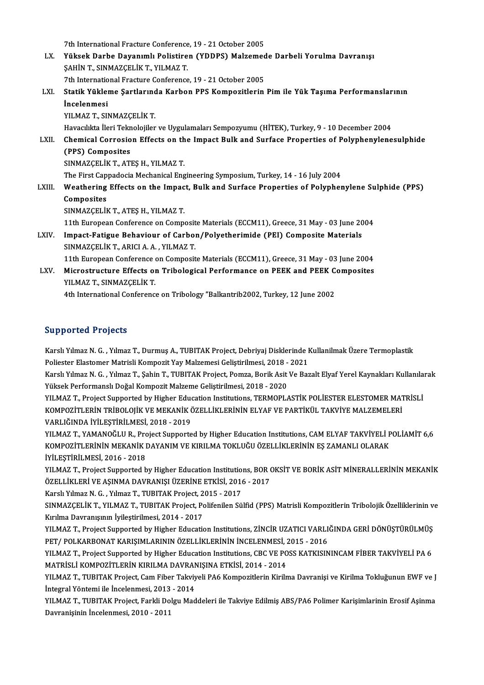7th International Fracture Conference, 19 - 21 October 2005

- 7th International Fracture Conference, 19 21 October 2005<br>LX. Yüksek Darbe Dayanımlı Polistiren (YDDPS) Malzemede Darbeli Yorulma Davranışı<br>SAHİN T. SINMAZCELİK T. YU MAZ T. 7th International Fracture Conference<br>**Yüksek Darbe Dayanımlı Polistire**<br>ŞAHİN T., SINMAZÇELİK T., YILMAZ T.<br><sup>7th International Enasture Conference</sup> Yüksek Darbe Dayanımlı Polistiren (YDDPS) Malzemec<br>ŞAHİN T., SINMAZÇELİK T., YILMAZ T.<br>7th International Fracture Conference, 19 - 21 October 2005<br>Statik Vüklame Sartlanunda Karban BBS Kampasitlerin 7th International Fracture Conference, 19 - 21 October 2005
- ŞAHİN T., SINMAZÇELİK T., YILMAZ T.<br>7th International Fracture Conference, 19 21 October 2005<br>LXI. Statik Yükleme Şartlarında Karbon PPS Kompozitlerin Pim ile Yük Taşıma Performanslarının<br>İncelenmesi YILMAZ T., SINMAZÇELİK T.

Havacılıkta İleri Teknolojiler ve Uygulamaları Sempozyumu (HİTEK), Turkey, 9 - 10 December 2004

YILMAZ T., SINMAZÇELİK T.<br>Havacılıkta İleri Teknolojiler ve Uygulamaları Sempozyumu (HİTEK), Turkey, 9 - 10 December 2004<br>LXII. Chemical Corrosion Effects on the Impact Bulk and Surface Properties of Polyphenylenesulph Havacılıkta İleri Tekn<br>Chemical Corrosio<br>(PPS) Composites<br>SINMAZCELİK TATI Chemical Corrosion Effects on th<br>(PPS) Composites<br>SINMAZÇELİK T., ATEŞ H., YILMAZ T.<br>The First Cannadosia Mechanical Eng (PPS) Composites<br>SINMAZÇELİK T., ATEŞ H., YILMAZ T.<br>The First Cappadocia Mechanical Engineering Symposium, Turkey, 14 - 16 July 2004

SINMAZÇELİK T., ATEŞ H., YILMAZ T.<br>The First Cappadocia Mechanical Engineering Symposium, Turkey, 14 - 16 July 2004<br>LXIII. Weathering Effects on the Impact, Bulk and Surface Properties of Polyphenylene Sulphide (PPS) The First Cap<br>Weathering<br>Composites<br>SINMAZCELIT Weathering Effects on the Impac<br>Composites<br>SINMAZÇELİK T., ATEŞ H., YILMAZ T.<br>11th European Conference on Compa Composites<br>11th European Conference on Composite Materials (ECCM11), Greece, 31 May - 03 June 2004<br>11th European Conference on Composite Materials (ECCM11), Greece, 31 May - 03 June 2004

SINMAZÇELİK T., ATEŞ H., YILMAZ T.<br>11th European Conference on Composite Materials (ECCM11), Greece, 31 May - 03 June 20<br>LXIV. Impact-Fatigue Behaviour of Carbon/Polyetherimide (PEI) Composite Materials<br>SINMAZÇELİK T. ADIÇ 11th European Conference on Composit<br>Impact-Fatigue Behaviour of Carbol<br>SINMAZÇELİK T., ARICI A. A. , YILMAZ T.<br>11th European Conference on Composit Impact-Fatigue Behaviour of Carbon/Polyetherimide (PEI) Composite Materials<br>SINMAZÇELİK T., ARICI A. A. , YILMAZ T.<br>11th European Conference on Composite Materials (ECCM11), Greece, 31 May - 03 June 2004<br>Mispostrusture Eff

SINMAZÇELİK T., ARICI A. A. , YILMAZ T.<br>11th European Conference on Composite Materials (ECCM11), Greece, 31 May - 03 June 2004<br>LXV. Microstructure Effects on Tribological Performance on PEEK and PEEK Composites<br>VILMAZ T. 11th European Conference<br>Microstructure Effects of<br>YILMAZ T., SINMAZÇELİK T.<br>4th International Conference Microstructure Effects on Tribological Performance on PEEK and PEEK C<br>YILMAZ T., SINMAZÇELİK T.<br>4th International Conference on Tribology "Balkantrib2002, Turkey, 12 June 2002

4th International Conference on Tribology "Balkantrib2002, Turkey, 12 June 2002<br>Supported Projects

Supported Projects<br>Karslı Yılmaz N. G. , Yılmaz T., Durmuş A., TUBITAK Project, Debriyaj Disklerinde Kullanilmak Üzere Termoplastik<br>Poliester Flastemer Metrisli Komposit Yau Malzamosi Colistirilmesi, 2019 - 2021 Papporton 119joca<br>Karslı Yılmaz N. G. , Yılmaz T., Durmuş A., TUBITAK Project, Debriyaj Disklerinde I<br>Poliester Elastomer Matrisli Kompozit Yay Malzemesi Geliştirilmesi, 2018 - 2021<br>Karelı Yılmaz N. G., Yılmaz T. Sobin T.

Poliester Elastomer Matrisli Kompozit Yay Malzemesi Geliştirilmesi, 2018 - 2021<br>Karslı Yılmaz N. G. , Yılmaz T., Şahin T., TUBITAK Project, Pomza, Borik Asit Ve Bazalt Elyaf Yerel Kaynakları Kullanılarak Yüksek Performanslı Doğal Kompozit Malzeme Geliştirilmesi, 2018 - 2020 Karslı Yılmaz N. G. , Yılmaz T., Şahin T., TUBITAK Project, Pomza, Borik Asit Ve Bazalt Elyaf Yerel Kaynakları Kullanıla<br>Yüksek Performanslı Doğal Kompozit Malzeme Geliştirilmesi, 2018 - 2020<br>YILMAZ T., Project Supported b

Yüksek Performanslı Doğal Kompozit Malzeme Geliştirilmesi, 2018 - 2020<br>YILMAZ T., Project Supported by Higher Education Institutions, TERMOPLASTİK POLİESTER ELESTOMER MAT<br>KOMPOZİTLERİN TRİBOLOJİK VE MEKANİK ÖZELLİKLERİNİN KOMPOZİTLERİN TRİBOLOJİK VE MEKANİK ÖZELLİKLERİNİN ELYAF VE PARTİKÜL TAKVİYE MALZEMELERİ<br>VARLIĞINDA İYİLEŞTİRİLMESİ, 2018 - 2019 KOMPOZİTLERİN TRİBOLOJİK VE MEKANİK ÖZELLİKLERİNİN ELYAF VE PARTİKÜL TAKVİYE MALZEMELERİ<br>VARLIĞINDA İYİLEŞTİRİLMESİ, 2018 - 2019<br>YILMAZ T., YAMANOĞLU R., Project Supported by Higher Education Institutions, CAM ELYAF TAKVİY

VARLIĞINDA İYİLEŞTİRİLMESİ, 2018 - 2019<br>YILMAZ T., YAMANOĞLU R., Project Supported by Higher Education Institutions, CAM ELYAF TAKVİYELİ P<br>KOMPOZİTLERİNİN MEKANİK DAYANIM VE KIRILMA TOKLUĞU ÖZELLİKLERİNİN EŞ ZAMANLI OLARAK KOMPOZİTLERİNİN MEKANİK DAYANIM VE KIRILMA TOKLUĞU ÖZELLİKLERİNİN EŞ ZAMANLI OLARAK<br>İYİLEŞTİRİLMESİ, 2016 - 2018 KOMPOZİTLERİNİN MEKANİK DAYANIM VE KIRILMA TOKLUĞU ÖZELLİKLERİNİN EŞ ZAMANLI OLARAK<br>İYİLEŞTİRİLMESİ, 2016 - 2018<br>YILMAZ T., Project Supported by Higher Education Institutions, BOR OKSİT VE BORİK ASİT MİNERALLERİNİN MEKANİK

İYİLEŞTİRİLMESİ, 2016 - 2018<br>YILMAZ T., Project Supported by Higher Education Institutions, BOR (<br>ÖZELLİKLERİ VE AŞINMA DAVRANIŞI ÜZERİNE ETKİSİ, 2016 - 2017<br>Karel Yılmaz N.G., Yılmaz T. TUPITAK Project, 2015 - 2017 ÖZELLİKLERİ VE AŞINMA DAVRANIŞI ÜZERİNE ETKİSİ, 2016 - 2017<br>Karslı Yılmaz N. G. , Yılmaz T., TUBITAK Project, 2015 - 2017

ÖZELLİKLERİ VE AŞINMA DAVRANIŞI ÜZERİNE ETKİSİ, 2016 - 2017<br>Karslı Yılmaz N. G. , Yılmaz T., TUBITAK Project, 2015 - 2017<br>SINMAZÇELİK T., YILMAZ T., TUBITAK Project, Polifenilen Sülfid (PPS) Matrisli Kompozitlerin Triboloj Karslı Yılmaz N. G. , Yılmaz T., TUBITAK Project, 2<br>SINMAZÇELİK T., YILMAZ T., TUBITAK Project, Po<br>Kırılma Davranışının İyileştirilmesi, 2014 - 2017<br>YU MAZ T. Project Sunnerted bu Hirber Educati SINMAZÇELİK T., YILMAZ T., TUBITAK Project, Polifenilen Sülfid (PPS) Matrisli Kompozitlerin Tribolojik Özelliklerinin v<br>Kırılma Davranışının İyileştirilmesi, 2014 - 2017<br>YILMAZ T., Project Supported by Higher Education Ins

Kırılma Davranışının İyileştirilmesi, 2014 - 2017<br>YILMAZ T., Project Supported by Higher Education Institutions, ZİNCİR UZATICI VARLI<br>PET/ POLKARBONAT KARIŞIMLARININ ÖZELLİKLERİNİN İNCELENMESİ, 2015 - 2016<br>YU MAZ T. Projec YILMAZ T., Project Supported by Higher Education Institutions, ZİNCİR UZATICI VARLIĞINDA GERİ DÖNÜŞTÜRÜLMÜŞ<br>PET/ POLKARBONAT KARIŞIMLARININ ÖZELLİKLERİNİN İNCELENMESİ, 2015 - 2016<br>YILMAZ T., Project Supported by Higher Edu

PET/ POLKARBONAT KARIŞIMLARININ ÖZELLİKLERİNİN İNCELENMESİ, 2<br>YILMAZ T., Project Supported by Higher Education Institutions, CBC VE PO<br>MATRİSLİ KOMPOZİTLERİN KIRILMA DAVRANIŞINA ETKİSİ, 2014 - 2014<br>VILMAZ T. TUPITAK Projec YILMAZ T., Project Supported by Higher Education Institutions, CBC VE POSS KATKISININCAM FİBER TAKVİYELİ PA 6<br>MATRİSLİ KOMPOZİTLERİN KIRILMA DAVRANIŞINA ETKİSİ, 2014 - 2014<br>YILMAZ T., TUBITAK Project, Cam Fiber Takviyeli P

MATRİSLİ KOMPOZİTLERİN KIRILMA DAVRAN<br>YILMAZ T., TUBITAK Project, Cam Fiber Takviy<br>İntegral Yöntemi ile İncelenmesi, 2013 - 2014<br>YU MAZ T. TUBITAK Project, Farkli Dolay Mod YILMAZ T., TUBITAK Project, Cam Fiber Takviyeli PA6 Kompozitlerin Kirilma Davranişi ve Kirilma Tokluğunun EWF ve J<br>İntegral Yöntemi ile İncelenmesi, 2013 - 2014<br>YILMAZ T., TUBITAK Project, Farkli Dolgu Maddeleri ile Takviy

İntegral Yöntemi ile İncelenmesi, 2013 - 2014<br>YILMAZ T., TUBITAK Project, Farkli Dolgu Maddeleri ile Takviye Edilmiş ABS/PA6 Polimer Karişimlarinin Erosif Aşinma<br>Davranisinin İncelenmesi, 2010 - 2011